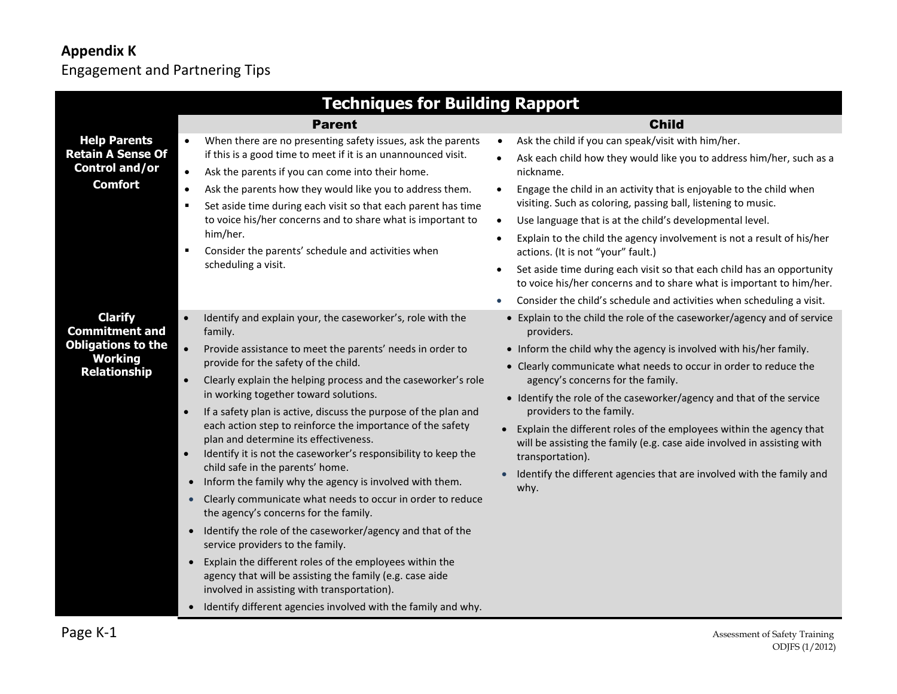## **Appendix K** Engagement and Partnering Tips

|                                            | <b>Techniques for Building Rapport</b>                                                                                                                                                                                                                                                                                                             |                                                                                                                                                   |
|--------------------------------------------|----------------------------------------------------------------------------------------------------------------------------------------------------------------------------------------------------------------------------------------------------------------------------------------------------------------------------------------------------|---------------------------------------------------------------------------------------------------------------------------------------------------|
|                                            | <b>Parent</b>                                                                                                                                                                                                                                                                                                                                      | <b>Child</b>                                                                                                                                      |
| <b>Help Parents</b>                        | When there are no presenting safety issues, ask the parents<br>$\bullet$                                                                                                                                                                                                                                                                           | Ask the child if you can speak/visit with him/her.<br>$\bullet$                                                                                   |
| <b>Retain A Sense Of</b><br>Control and/or | if this is a good time to meet if it is an unannounced visit.<br>$\bullet$<br>Ask the parents if you can come into their home.                                                                                                                                                                                                                     | Ask each child how they would like you to address him/her, such as a<br>nickname.                                                                 |
| <b>Comfort</b>                             | $\bullet$<br>Ask the parents how they would like you to address them.<br>Set aside time during each visit so that each parent has time<br>$\blacksquare$                                                                                                                                                                                           | Engage the child in an activity that is enjoyable to the child when<br>$\bullet$<br>visiting. Such as coloring, passing ball, listening to music. |
|                                            | to voice his/her concerns and to share what is important to                                                                                                                                                                                                                                                                                        | Use language that is at the child's developmental level.<br>$\bullet$                                                                             |
|                                            | him/her.<br>Consider the parents' schedule and activities when<br>п<br>scheduling a visit.                                                                                                                                                                                                                                                         | Explain to the child the agency involvement is not a result of his/her<br>actions. (It is not "your" fault.)                                      |
|                                            |                                                                                                                                                                                                                                                                                                                                                    | Set aside time during each visit so that each child has an opportunity<br>to voice his/her concerns and to share what is important to him/her.    |
|                                            |                                                                                                                                                                                                                                                                                                                                                    | Consider the child's schedule and activities when scheduling a visit.                                                                             |
| <b>Clarify</b><br><b>Commitment and</b>    | $\bullet$<br>Identify and explain your, the caseworker's, role with the<br>family.                                                                                                                                                                                                                                                                 | • Explain to the child the role of the caseworker/agency and of service<br>providers.                                                             |
| <b>Obligations to the</b>                  | $\bullet$<br>Provide assistance to meet the parents' needs in order to                                                                                                                                                                                                                                                                             | • Inform the child why the agency is involved with his/her family.                                                                                |
| <b>Working</b><br><b>Relationship</b>      | provide for the safety of the child.<br>$\bullet$<br>Clearly explain the helping process and the caseworker's role<br>in working together toward solutions.<br>If a safety plan is active, discuss the purpose of the plan and<br>$\bullet$<br>each action step to reinforce the importance of the safety<br>plan and determine its effectiveness. | • Clearly communicate what needs to occur in order to reduce the                                                                                  |
|                                            |                                                                                                                                                                                                                                                                                                                                                    | agency's concerns for the family.<br>• Identify the role of the caseworker/agency and that of the service<br>providers to the family.             |
|                                            |                                                                                                                                                                                                                                                                                                                                                    |                                                                                                                                                   |
|                                            |                                                                                                                                                                                                                                                                                                                                                    | Explain the different roles of the employees within the agency that<br>will be assisting the family (e.g. case aide involved in assisting with    |
|                                            | Identify it is not the caseworker's responsibility to keep the<br>$\bullet$                                                                                                                                                                                                                                                                        | transportation).                                                                                                                                  |
|                                            | child safe in the parents' home.<br>Inform the family why the agency is involved with them.<br>$\bullet$                                                                                                                                                                                                                                           | Identify the different agencies that are involved with the family and<br>$\bullet$<br>why.                                                        |
|                                            | Clearly communicate what needs to occur in order to reduce<br>$\bullet$<br>the agency's concerns for the family.                                                                                                                                                                                                                                   |                                                                                                                                                   |
|                                            | Identify the role of the caseworker/agency and that of the<br>$\bullet$<br>service providers to the family.                                                                                                                                                                                                                                        |                                                                                                                                                   |
|                                            | Explain the different roles of the employees within the<br>$\bullet$<br>agency that will be assisting the family (e.g. case aide<br>involved in assisting with transportation).                                                                                                                                                                    |                                                                                                                                                   |
|                                            | • Identify different agencies involved with the family and why.                                                                                                                                                                                                                                                                                    |                                                                                                                                                   |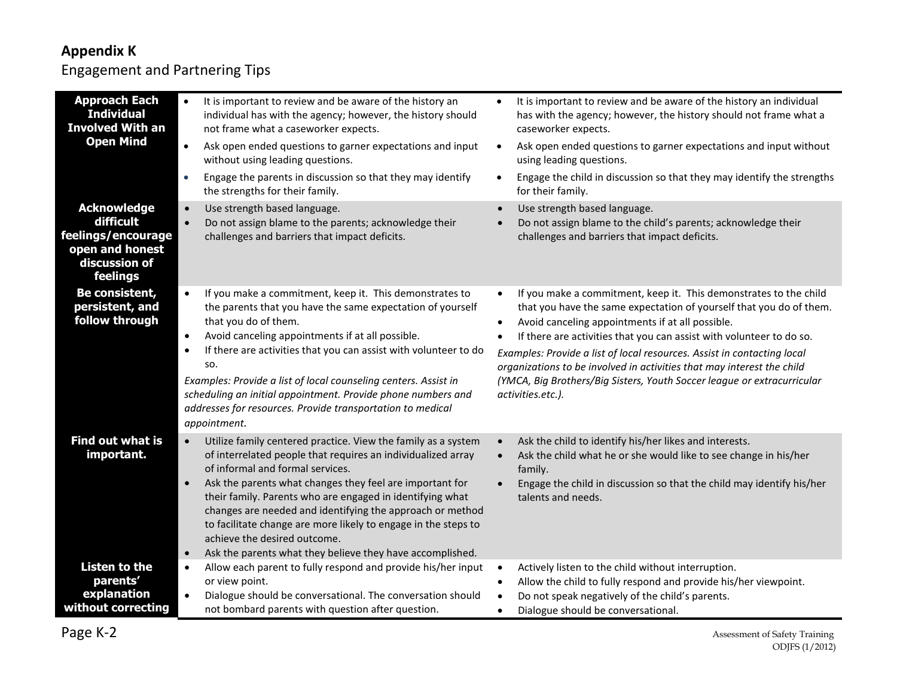## **Appendix K**

## Engagement and Partnering Tips

| <b>Approach Each</b><br><b>Individual</b><br><b>Involved With an</b><br><b>Open Mind</b><br><b>Acknowledge</b> | It is important to review and be aware of the history an<br>$\bullet$<br>individual has with the agency; however, the history should<br>not frame what a caseworker expects.<br>$\bullet$<br>Ask open ended questions to garner expectations and input<br>without using leading questions.<br>Engage the parents in discussion so that they may identify<br>$\bullet$<br>the strengths for their family.<br>$\bullet$                                                                                                                                         | It is important to review and be aware of the history an individual<br>$\bullet$<br>has with the agency; however, the history should not frame what a<br>caseworker expects.<br>Ask open ended questions to garner expectations and input without<br>$\bullet$<br>using leading questions.<br>Engage the child in discussion so that they may identify the strengths<br>$\bullet$<br>for their family.                                                                                                                                              |
|----------------------------------------------------------------------------------------------------------------|---------------------------------------------------------------------------------------------------------------------------------------------------------------------------------------------------------------------------------------------------------------------------------------------------------------------------------------------------------------------------------------------------------------------------------------------------------------------------------------------------------------------------------------------------------------|-----------------------------------------------------------------------------------------------------------------------------------------------------------------------------------------------------------------------------------------------------------------------------------------------------------------------------------------------------------------------------------------------------------------------------------------------------------------------------------------------------------------------------------------------------|
| difficult<br>feelings/encourage<br>open and honest<br>discussion of<br>feelings                                | Use strength based language.<br>$\bullet$<br>Do not assign blame to the parents; acknowledge their<br>challenges and barriers that impact deficits.                                                                                                                                                                                                                                                                                                                                                                                                           | Use strength based language.<br>$\bullet$<br>Do not assign blame to the child's parents; acknowledge their<br>challenges and barriers that impact deficits.                                                                                                                                                                                                                                                                                                                                                                                         |
| Be consistent,<br>persistent, and<br>follow through                                                            | $\bullet$<br>If you make a commitment, keep it. This demonstrates to<br>the parents that you have the same expectation of yourself<br>that you do of them.<br>Avoid canceling appointments if at all possible.<br>$\bullet$<br>If there are activities that you can assist with volunteer to do<br>$\bullet$<br>SO.<br>Examples: Provide a list of local counseling centers. Assist in<br>scheduling an initial appointment. Provide phone numbers and<br>addresses for resources. Provide transportation to medical<br>appointment.                          | If you make a commitment, keep it. This demonstrates to the child<br>$\bullet$<br>that you have the same expectation of yourself that you do of them.<br>Avoid canceling appointments if at all possible.<br>$\bullet$<br>If there are activities that you can assist with volunteer to do so.<br>Examples: Provide a list of local resources. Assist in contacting local<br>organizations to be involved in activities that may interest the child<br>(YMCA, Big Brothers/Big Sisters, Youth Soccer league or extracurricular<br>activities.etc.). |
| <b>Find out what is</b><br>important.                                                                          | $\bullet$<br>Utilize family centered practice. View the family as a system<br>of interrelated people that requires an individualized array<br>of informal and formal services.<br>Ask the parents what changes they feel are important for<br>$\bullet$<br>their family. Parents who are engaged in identifying what<br>changes are needed and identifying the approach or method<br>to facilitate change are more likely to engage in the steps to<br>achieve the desired outcome.<br>Ask the parents what they believe they have accomplished.<br>$\bullet$ | Ask the child to identify his/her likes and interests.<br>$\bullet$<br>Ask the child what he or she would like to see change in his/her<br>$\bullet$<br>family.<br>Engage the child in discussion so that the child may identify his/her<br>talents and needs.                                                                                                                                                                                                                                                                                      |
| <b>Listen to the</b><br>parents'<br>explanation<br>without correcting                                          | Allow each parent to fully respond and provide his/her input<br>$\bullet$<br>or view point.<br>$\bullet$<br>Dialogue should be conversational. The conversation should<br>not bombard parents with question after question.                                                                                                                                                                                                                                                                                                                                   | Actively listen to the child without interruption.<br>$\bullet$<br>Allow the child to fully respond and provide his/her viewpoint.<br>$\bullet$<br>Do not speak negatively of the child's parents.<br>$\bullet$<br>Dialogue should be conversational.<br>$\bullet$                                                                                                                                                                                                                                                                                  |